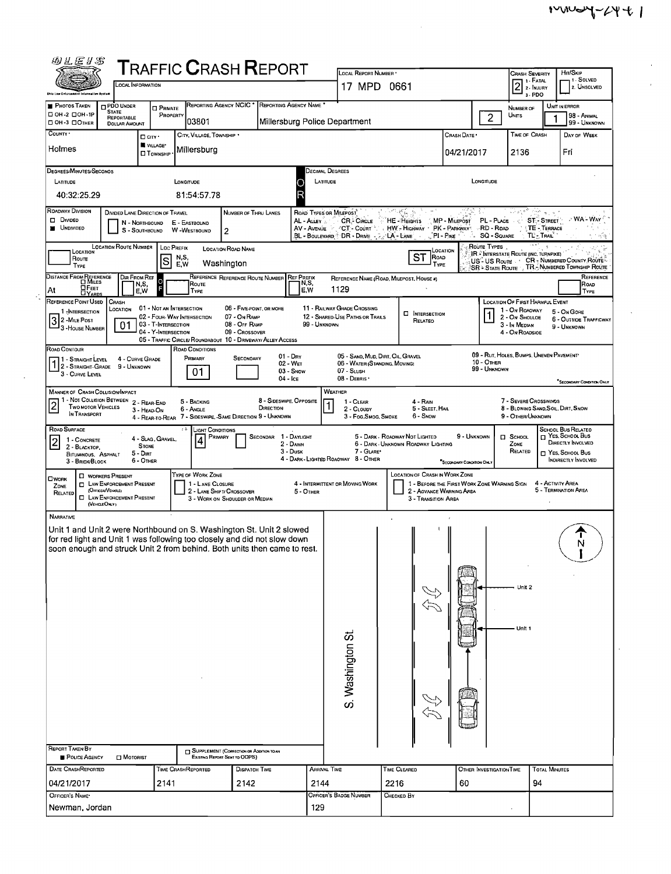$\mathcal{L}^{\pm}$  $\mathcal{L}$ 

| 四儿医#\$                                                                                                                                               |                                                                          |                                                             | ${\sf T}$ RAFFIC ${\sf C}$ RASH ${\sf R}$ EPORT             |                           | LOCAL REPORT NUMBER '                                                                                                                                                         |                                          |                               |                                    | <b>CRASH SEVERITY</b>                              | HIT/SKIP                                                    |  |  |
|------------------------------------------------------------------------------------------------------------------------------------------------------|--------------------------------------------------------------------------|-------------------------------------------------------------|-------------------------------------------------------------|---------------------------|-------------------------------------------------------------------------------------------------------------------------------------------------------------------------------|------------------------------------------|-------------------------------|------------------------------------|----------------------------------------------------|-------------------------------------------------------------|--|--|
| <b>LOCAL INFORMATION</b><br><b>Bhis Lew Enforces</b>                                                                                                 |                                                                          |                                                             | 17 MPD 0661                                                 |                           |                                                                                                                                                                               | 1 1 - FATAL<br>2 - INJURY<br>3-PDO       | 1 - SOLVED<br>2. UNSOLVED     |                                    |                                                    |                                                             |  |  |
| <b>PHOTOS TAKEN</b><br><b>DPDO UNDER</b><br><b>STATE</b>                                                                                             | <b>O</b> PRIVATE                                                         |                                                             | REPORTING AGENCY NCIC * REPORTING AGENCY NAME *             |                           |                                                                                                                                                                               |                                          |                               | UNIT IN ERROR<br>NUMBER OF         |                                                    |                                                             |  |  |
| □ ОН-2 □ ОН-1Р<br><b>REPORTABLE</b><br>D OH -3 DOTHER<br><b>DOLLAR AMOUNT</b>                                                                        | PROPERTY                                                                 | 03801                                                       |                                                             |                           | Millersburg Police Department                                                                                                                                                 |                                          |                               | $\overline{2}$                     | UNTS                                               | 98 - Animal<br>99 - Unknown                                 |  |  |
| COUNTY *<br>$\Box$ CITY $\cdot$                                                                                                                      | VILLAGE*                                                                 | CITY, VILLAGE, TOWNSHIP *                                   |                                                             |                           |                                                                                                                                                                               |                                          | CRASH DATE *                  |                                    | TIME OF CRASH                                      | DAY OF WEEK                                                 |  |  |
| Holmes                                                                                                                                               | <b>□ Тоwnsни</b>                                                         | Millersburg                                                 |                                                             |                           |                                                                                                                                                                               |                                          | 04/21/2017                    |                                    | 2136                                               | Fri                                                         |  |  |
| DEGREES/MINUTES/SECONOS                                                                                                                              |                                                                          |                                                             |                                                             | DECIMAL DEGREES           |                                                                                                                                                                               |                                          |                               |                                    |                                                    |                                                             |  |  |
| LATITUDE<br>40:32:25.29                                                                                                                              |                                                                          | LONGITUDE<br>81:54 57.78                                    |                                                             | LATITUDE<br>O<br>R        |                                                                                                                                                                               |                                          |                               | LONGITUDE                          |                                                    |                                                             |  |  |
| ROADWAY DIVISION<br>DIVIDED LANE DIRECTION OF TRAVEL                                                                                                 |                                                                          |                                                             | NUMBER OF THRU LANES                                        | ROAD TYPES OR MILEPOST    |                                                                                                                                                                               |                                          |                               |                                    |                                                    |                                                             |  |  |
| D Divideo<br>N - Northbound<br><b>UNDIVIDED</b><br>S - SOUTHBOUND                                                                                    |                                                                          | E - EASTBOUND<br><b>W-WESTBOUND</b><br>$\overline{2}$       |                                                             | AL - ALLEY<br>AV - AVENUE | <b>CR-CIRCLE</b><br>CT - Court                                                                                                                                                | HE-HEIGHTS<br>HW - HIGHWAY               | MP - MiLEPOST<br>PK - PARKWAY | PL - PLACE<br>-RD - Road           | <b>ST-STREET</b><br>TE - TERRACE                   | - WA - Way                                                  |  |  |
| <b>LOCATION ROUTE NUMBER</b>                                                                                                                         | LOC PREFIX                                                               | <b>LOCATION ROAD NAME</b>                                   |                                                             |                           | BL - Boulevard ("DR - Drive" - J.                                                                                                                                             | $-A -$ LANE                              | √PI-Рк∈ ∵<br>Val              | <b>SQ - SQUARE</b><br>ROUTE TYPES. | TL'-TRAL'                                          |                                                             |  |  |
| LOCATION<br>Route<br><b>TYPE</b>                                                                                                                     | N,S,<br>ls<br>E.W                                                        | Washington                                                  |                                                             |                           |                                                                                                                                                                               | <b>ST</b><br>Road<br>TYPE                | LOCATION                      | US-US Route                        | <b>IR : INTERSTATE ROUTE (INC. TURNPIKE)</b>       | CR - NUMBERED COUNTY ROUTE                                  |  |  |
| DISTANCE FROM REFERENCE<br>Dir From Ref                                                                                                              | $\circ$                                                                  |                                                             | REFERENCE REFERENCE ROUTE NUMBER REF PREFIX                 |                           |                                                                                                                                                                               | REFERENCE NAME (ROAD, MILEPOST, HOUSE #) |                               |                                    |                                                    | SR - STATE ROUTE , TR. NUMBERED TOWNSHIP ROUTE<br>REFERENCE |  |  |
| N.S.<br>$\Box$ Feet<br>At<br>E,W<br><b>DYARDS</b>                                                                                                    |                                                                          | ROUTE<br>TYPE                                               |                                                             | N,S,<br>E,W               | 1129                                                                                                                                                                          |                                          |                               |                                    |                                                    | ROAD<br><b>TYPE</b>                                         |  |  |
| REFERENCE POINT USED<br>CRASH<br>LOCATION<br>1-INTERSECTION                                                                                          | 01 - NOT AN INTERSECTION                                                 |                                                             | 06 - FIVE-POINT, OR MORE<br>07 - On RAMP                    |                           | 11 - RAILWAY GRADE CROSSING                                                                                                                                                   | <b>D</b> INTERSECTION                    |                               |                                    | LOCATION OF FIRST HARMFUL EVENT<br>1 - On ROAOWAY  | 5 - On Gore                                                 |  |  |
| 3 2 - Mile Post<br>01<br><sup>1</sup> 3 - House Number                                                                                               | 02 - FOUR-WAY INTERSECTION<br>03 - T-INTERSECTION<br>04 - Y-INTERSECTION |                                                             | 08 - OFF RAMP<br>09 - Crossover                             | 99 - UNKNOWN              | 12 - SHARED-USE PATHS OR TRAILS                                                                                                                                               | RELATEO                                  |                               |                                    | 2 - On Shoulde<br>3 - In Median<br>4 - On ROADSIOE | 6 - OUTSIDE TRAFFICWAY<br>9 - UNKNOWN                       |  |  |
| ROAD CONTOUR                                                                                                                                         |                                                                          | ROAD CONDITIONS                                             | 05 - TRAFFIC CIRCLE/ ROUNDABOUT 10 - DRIVEWAY/ ALLEY ACCESS |                           |                                                                                                                                                                               |                                          |                               |                                    |                                                    |                                                             |  |  |
| 1 - STRAIGHT LEVEL 4 - CURVE GR<br>1 2 - STRAIGHT-GRADE 9 - UNKNOWN<br>4 - CURVE GRADE                                                               |                                                                          | PRIMARY                                                     | $01 - Drx$<br>SECONDARY<br>$02 - W_{ET}$                    |                           | 05 - SAND, MUD, DIRT, OIL, GRAVEL<br>06 - WATER (STANDING, MOVING)                                                                                                            |                                          |                               | 10 - Отнея                         | 09 - RUT, HOLES, BUMPS, UNEVEN PAVEMENT*           |                                                             |  |  |
| 3 - CURVE LEVEL                                                                                                                                      |                                                                          | 01                                                          | $03 -$ SNOW<br>04 - Ice                                     |                           | 07 - SLUSH<br>08 - DEBRIS                                                                                                                                                     |                                          |                               | 99 - UNKNOWN                       |                                                    | "SECONDARY CONDITION ONLY                                   |  |  |
| <b>MANNER OF CRASH COLLISION/IMPACT</b>                                                                                                              |                                                                          |                                                             |                                                             |                           | WEATHER                                                                                                                                                                       |                                          |                               |                                    |                                                    |                                                             |  |  |
| 1 - Not Collision Between 2 - Rear-End<br><b>TWO MOTOR VEHICLES</b><br>3 - HEAD-ON<br>IN TRANSPORT                                                   |                                                                          | 5 - BACKING<br>6 - Angle                                    | 8 - SIDESWIPE, OPPOSITE<br>DIRECTION                        |                           | 7 - SEVERE CROSSWINDS<br>1 - CLEAR<br>4 - Rain<br>8 - BLOWING SAND, SOIL, DIRT, SNOW<br>5 - SLEET, HAIL<br>2 - CLOUDY<br>6 - Snow<br>9 - OTHER/UNKNOWN<br>3 - Fog Smog, Smoke |                                          |                               |                                    |                                                    |                                                             |  |  |
| ROAD SURFACE                                                                                                                                         |                                                                          | LIGHT CONDITIONS                                            | 4 - REAR-TO-REAR 7 - SIDESWIPE, SAME DIRECTION 9 - UNKNOWN  |                           |                                                                                                                                                                               |                                          |                               |                                    |                                                    | SCHOOL BUS RELATEO                                          |  |  |
| 1 - CONCRETE<br><b>STONE</b><br>2 - BLACKTOP.                                                                                                        | 4 - SLAG, GRAVEL,                                                        | PRIMARY                                                     | SECONDAR 1 - DAYLIGHT<br>2 - DAWN                           |                           | T YES, SCHOOL BUS<br>5 - DARK - ROADWAY NOT LIGHTED<br>9 - UNKNOWN<br>$\square$ SCHOOL<br>DIRECTLY INVOLVED<br>6 - DARK - UNKNOWN ROADWAY LIGHTING<br>ZONE                    |                                          |                               |                                    |                                                    |                                                             |  |  |
| 5 - Dirt<br>BITUMINOUS, ASPHALT<br>6 - OTHER<br>3 - Brick/Block                                                                                      |                                                                          |                                                             | 3 - Dusk                                                    |                           | 7 - GLARE*<br>4 - DARK - LIGHTED ROAOWAY 8 - OTHER                                                                                                                            |                                          | "SECONDARY CONDITION ONLY     |                                    | RELATED                                            | NES, SCHOOL BUS<br><b>INDIRECTLY INVOLVED</b>               |  |  |
| <b>C</b> WORKERS PRESENT<br><b>OWORK</b><br><b>D</b> LAW ENFORCEMENT PRESENT                                                                         |                                                                          | TYPE OF WORK ZONE<br>1 - LANE CLOSURE                       |                                                             |                           | LOCATION OF CRASH IN WORK ZONE<br>4 - ACTIVITY AREA<br>4 - INTERMITTENT OR MOVING WORK<br>1 - BEFORE THE FIRST WORK ZONE WARNING SIGN                                         |                                          |                               |                                    |                                                    |                                                             |  |  |
| ZONE<br>(OFFICER/VEHICLE)<br>RELATED<br><b>EL LAW ENFORCEMENT PRESENT</b>                                                                            |                                                                          | 2 - LANE SHIFT/ CROSSOVER<br>3 - WORK ON SHDULDER OR MEDIAN |                                                             | 5 - OTHER                 | 5 - TERMINATION AREA<br>2 - AOVANCE WARNING AREA<br>3 - Transition Area                                                                                                       |                                          |                               |                                    |                                                    |                                                             |  |  |
| (VEHOLEOMY)<br>NARRATIVE                                                                                                                             |                                                                          |                                                             |                                                             |                           |                                                                                                                                                                               |                                          |                               |                                    |                                                    |                                                             |  |  |
| Unit 1 and Unit 2 were Northbound on S. Washington St. Unit 2 slowed                                                                                 |                                                                          |                                                             |                                                             |                           |                                                                                                                                                                               |                                          |                               |                                    |                                                    |                                                             |  |  |
| for red light and Unit 1 was following too closely and did not slow down<br>soon enough and struck Unit 2 from behind. Both units then came to rest. |                                                                          |                                                             |                                                             |                           |                                                                                                                                                                               |                                          |                               |                                    |                                                    | N                                                           |  |  |
|                                                                                                                                                      |                                                                          |                                                             |                                                             |                           |                                                                                                                                                                               |                                          |                               |                                    |                                                    |                                                             |  |  |
|                                                                                                                                                      |                                                                          |                                                             |                                                             |                           |                                                                                                                                                                               |                                          |                               |                                    |                                                    |                                                             |  |  |
|                                                                                                                                                      |                                                                          |                                                             |                                                             |                           |                                                                                                                                                                               |                                          |                               |                                    | Unit 2                                             |                                                             |  |  |
|                                                                                                                                                      |                                                                          |                                                             |                                                             |                           |                                                                                                                                                                               |                                          |                               |                                    |                                                    |                                                             |  |  |
|                                                                                                                                                      |                                                                          |                                                             |                                                             |                           |                                                                                                                                                                               |                                          |                               |                                    | Unit 1                                             |                                                             |  |  |
|                                                                                                                                                      |                                                                          |                                                             |                                                             |                           |                                                                                                                                                                               |                                          |                               |                                    |                                                    |                                                             |  |  |
|                                                                                                                                                      |                                                                          |                                                             |                                                             |                           |                                                                                                                                                                               |                                          |                               |                                    |                                                    |                                                             |  |  |
|                                                                                                                                                      |                                                                          |                                                             |                                                             |                           |                                                                                                                                                                               |                                          |                               |                                    |                                                    |                                                             |  |  |
|                                                                                                                                                      |                                                                          | S. Washington St.                                           |                                                             |                           |                                                                                                                                                                               |                                          |                               |                                    |                                                    |                                                             |  |  |
|                                                                                                                                                      |                                                                          |                                                             |                                                             |                           |                                                                                                                                                                               |                                          |                               |                                    |                                                    |                                                             |  |  |
|                                                                                                                                                      |                                                                          |                                                             |                                                             |                           |                                                                                                                                                                               |                                          |                               |                                    |                                                    |                                                             |  |  |
|                                                                                                                                                      |                                                                          |                                                             |                                                             |                           |                                                                                                                                                                               |                                          |                               |                                    |                                                    |                                                             |  |  |
| REPORT TAKEN BY<br>POLICE AGENCY<br>$\Box$ Motorist                                                                                                  |                                                                          | EXISTING REPORT SENT TO ODPS)                               | SUPPLEMENT (CORRECTION OR ADDITION TO AN                    |                           |                                                                                                                                                                               |                                          |                               |                                    |                                                    |                                                             |  |  |
| <b>DATE CRASHREPORTED</b>                                                                                                                            | <b>TIME CRASHREPORTED</b>                                                |                                                             | <b>DISPATCH TIME</b>                                        | ARRIVAL TIME              |                                                                                                                                                                               | TIME CLEARED                             |                               | <b>OTHER INVESTIGATION TIME</b>    | <b>TOTAL MINUTES</b>                               |                                                             |  |  |
| 04/21/2017<br>OFFICER'S NAME*                                                                                                                        | 2141                                                                     |                                                             | 2142                                                        | 2144                      | OFFICER'S BADGE NUMBER                                                                                                                                                        | 2216<br>Снескер Ву                       | 60                            |                                    | 94                                                 |                                                             |  |  |
| Newman, Jordan                                                                                                                                       |                                                                          |                                                             |                                                             | 129                       |                                                                                                                                                                               |                                          |                               |                                    |                                                    |                                                             |  |  |
|                                                                                                                                                      |                                                                          |                                                             |                                                             |                           |                                                                                                                                                                               |                                          |                               |                                    |                                                    |                                                             |  |  |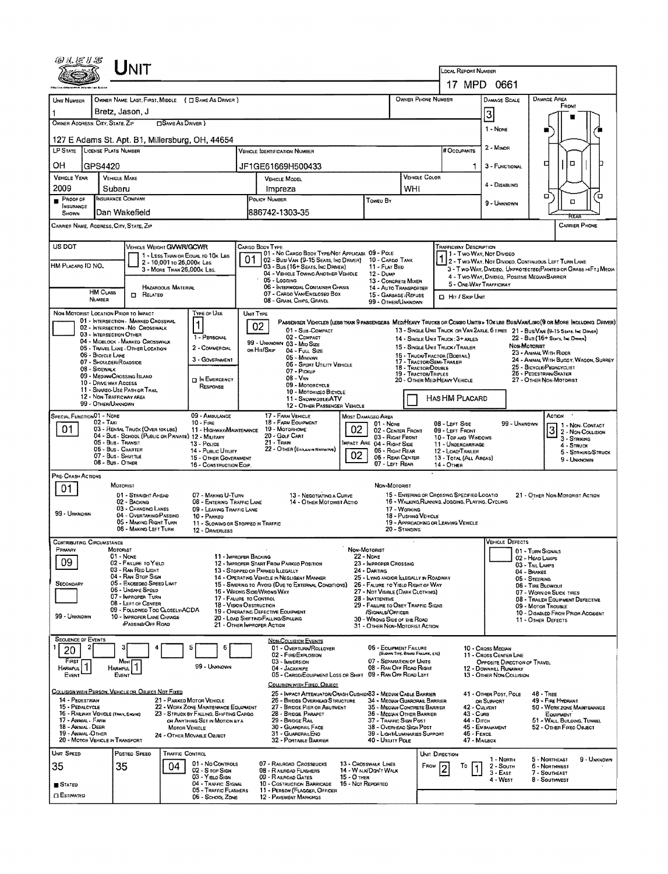|                                                                                                                                   | UNIT                                                                        |                                                                        |                                                                                                                                                          |                                                                                                                                |                                                                                   |                                                                               |                                                                                                                                  |                                                                 |                                                                                                                         |                                                         |                                                                                                                                |  |  |  |
|-----------------------------------------------------------------------------------------------------------------------------------|-----------------------------------------------------------------------------|------------------------------------------------------------------------|----------------------------------------------------------------------------------------------------------------------------------------------------------|--------------------------------------------------------------------------------------------------------------------------------|-----------------------------------------------------------------------------------|-------------------------------------------------------------------------------|----------------------------------------------------------------------------------------------------------------------------------|-----------------------------------------------------------------|-------------------------------------------------------------------------------------------------------------------------|---------------------------------------------------------|--------------------------------------------------------------------------------------------------------------------------------|--|--|--|
|                                                                                                                                   |                                                                             |                                                                        |                                                                                                                                                          |                                                                                                                                | <b>LOCAL REPORT NUMBER</b>                                                        |                                                                               |                                                                                                                                  |                                                                 |                                                                                                                         |                                                         |                                                                                                                                |  |  |  |
|                                                                                                                                   |                                                                             |                                                                        |                                                                                                                                                          | OWNER PHONE NUMBER                                                                                                             |                                                                                   | 17 MPD 0661<br><b>DAMAGE SCALE</b>                                            |                                                                                                                                  | <b>DAMAGE AREA</b>                                              |                                                                                                                         |                                                         |                                                                                                                                |  |  |  |
| UNIT NUMBER                                                                                                                       | OWNER NAME: LAST, FIRST, MIDDLE ( C SAME AS DRIVER )<br>Bretz, Jason, J     |                                                                        |                                                                                                                                                          |                                                                                                                                |                                                                                   |                                                                               |                                                                                                                                  |                                                                 | FRONT                                                                                                                   |                                                         |                                                                                                                                |  |  |  |
| OWNER ADDRESS: CITY, STATE, ZIP                                                                                                   |                                                                             | <b>SAME AS DRIVER</b> )                                                |                                                                                                                                                          |                                                                                                                                |                                                                                   |                                                                               |                                                                                                                                  |                                                                 | 3<br>1 - None                                                                                                           |                                                         |                                                                                                                                |  |  |  |
|                                                                                                                                   | 127 E Adams St. Apt. B1, Millersburg, OH, 44654                             |                                                                        |                                                                                                                                                          |                                                                                                                                |                                                                                   |                                                                               |                                                                                                                                  |                                                                 |                                                                                                                         |                                                         |                                                                                                                                |  |  |  |
| LP STATE LICENSE PLATE NUMBER                                                                                                     |                                                                             |                                                                        |                                                                                                                                                          | <b>VEHICLE IDENTIFICATION NUMBER</b>                                                                                           |                                                                                   |                                                                               |                                                                                                                                  | # Occupants                                                     | 2 - MINOR                                                                                                               |                                                         |                                                                                                                                |  |  |  |
| OН<br>GPS4420                                                                                                                     |                                                                             |                                                                        |                                                                                                                                                          | JF1GE61669H500433                                                                                                              |                                                                                   |                                                                               | VEHICLE COLOR                                                                                                                    |                                                                 | 3 - FUNCTIONAL                                                                                                          |                                                         | α<br>п                                                                                                                         |  |  |  |
| <b>VEHICLE YEAR</b><br>2009                                                                                                       | <b>VEHICLE MAKE</b><br>Subaru                                               |                                                                        | VEHICLE MODEL<br>Impreza                                                                                                                                 |                                                                                                                                |                                                                                   |                                                                               | WHI                                                                                                                              |                                                                 | 4 - DISABLING                                                                                                           |                                                         |                                                                                                                                |  |  |  |
| PROOF OF<br><b>INSURANCE</b><br>SHOWN                                                                                             | <b>INSURANCE COMPANY</b><br>Dan Wakefield                                   |                                                                        |                                                                                                                                                          | POLICY NUMBER<br>886742-1303-35                                                                                                |                                                                                   | Toweo By                                                                      |                                                                                                                                  |                                                                 | 9 - UNKNOWN                                                                                                             |                                                         | α<br>ם<br>α                                                                                                                    |  |  |  |
| CARRIER NAME, ADDRESS, CITY, STATE, ZIP                                                                                           |                                                                             |                                                                        |                                                                                                                                                          |                                                                                                                                |                                                                                   |                                                                               |                                                                                                                                  |                                                                 |                                                                                                                         |                                                         | <b>CARRIER PHONE</b>                                                                                                           |  |  |  |
| US DOT                                                                                                                            | VEHICLE WEIGHT GWWR/GCWR                                                    |                                                                        |                                                                                                                                                          | CARGO BOOY TYPE                                                                                                                |                                                                                   |                                                                               |                                                                                                                                  | TRAFFICWAY DESCRIPTION                                          |                                                                                                                         |                                                         |                                                                                                                                |  |  |  |
| HM PLACARO ID NO.                                                                                                                 | 2 - 10,001 to 26,000 k Les                                                  | 1 - LESS THAN OR EQUAL TO 10K LBS                                      | 01                                                                                                                                                       | 01 - No CARGO BODY TYPE/NOT APPLICABL 09 - POLE<br>02 - Busi Van (9-15 Seats, Ing Driver) 10 - Cargo Tank                      |                                                                                   |                                                                               |                                                                                                                                  | 1 1 - Two-Way, Not Divideo                                      |                                                                                                                         |                                                         | 1 2 - TWO WAY, NOT DIVIDED, CONTINUOUS LEFT TURN LANE                                                                          |  |  |  |
|                                                                                                                                   | 3 - MORE THAN 26,000x LBS.                                                  |                                                                        |                                                                                                                                                          | 03 - Bus (16+ Seats, Inc DRIVER)<br>04 - VEHICLE TOWING ANDTHER VEHICLE<br>05 - Logging                                        |                                                                                   | 11 - FLAT BED<br>12 - Dump<br>13 - CONCRETE MIXER                             |                                                                                                                                  |                                                                 |                                                                                                                         |                                                         | 3 - Two-Way, Divideo, Unprotecteo (Painted or Grass >4FT.) MEDIA<br>4 - Two-Way, Divideo, Positive Median BARRIER              |  |  |  |
| <b>HM CLASS</b>                                                                                                                   | Hazaroous Material<br>о<br>RELATED                                          |                                                                        |                                                                                                                                                          | 06 - INTERMODAL CONTAINER CHASIS<br>07 - CARGO VAN/ENGLOSED BOX                                                                |                                                                                   | 14 - AUTO TRANSPORTER<br>15 - GARBAGE /REFUSE                                 |                                                                                                                                  | <b>D</b> Hr / Skip Unit                                         | 5 - ONE-WAY TRAFFICWAY                                                                                                  |                                                         |                                                                                                                                |  |  |  |
| NUMBER<br>NON-MOTORIST LOCATION PRIOR TO IMPACT                                                                                   |                                                                             |                                                                        |                                                                                                                                                          | 08 - GRAIN, CHIPS, GRAVEL                                                                                                      |                                                                                   | 99 - OTHER/UNKNOWN                                                            |                                                                                                                                  |                                                                 |                                                                                                                         |                                                         |                                                                                                                                |  |  |  |
|                                                                                                                                   | 01 - INTERSECTION - MARKED CROSSWAL<br>02 - INTERSECTION - NO CROSSWALK     | Type or Use                                                            | UNIT TYPE<br>02                                                                                                                                          |                                                                                                                                |                                                                                   |                                                                               |                                                                                                                                  |                                                                 |                                                                                                                         |                                                         | PASSENGER VEHICLES (LESS THAN 9 PASSENGERS MED/HEAVY TRUCKS OR COMBO UNITS > 10 K LES BUS/VAMLIMO (9 OR MORE INCLUDING DRIVER) |  |  |  |
| 03 - INTERSECTION OTHER                                                                                                           | 04 - MIDELOCK - MARKED CROSSWALK                                            | 1 - PERSONAL                                                           |                                                                                                                                                          | 01 - Sus COMPACT<br>02 - COMPACT<br>99 - UNKNOWN 03 - MIO SIZE                                                                 |                                                                                   |                                                                               |                                                                                                                                  | 14 - SINGLE UNIT TRUCK: 3+ AXLES                                | 13 - SINGLE UNIT TRUCK OR VAN ZAXLE, 6 TIRES 21 - BUS/VAN (9-15 SEATS, Inc. DRIVER)<br>22 - Bus (16+ SEATS, INC DRIVER) |                                                         |                                                                                                                                |  |  |  |
| 06 - BICYCLE LANE                                                                                                                 | 05 - TRAVEL LANE - OTHER LOCATION                                           | 2 - COMMERCIAL<br>3 - GOVERNMENT                                       |                                                                                                                                                          | on Hit/Skip<br>04 - Full Size<br>05 - MINIVAN                                                                                  |                                                                                   |                                                                               |                                                                                                                                  | 15 - SINGLE UNIT TRUCK / TRALER<br>16 - TRUCK/TRACTOR (BOBTAIL) |                                                                                                                         | Non-Motorist                                            | 23 - ANIMAL WITH RIDER                                                                                                         |  |  |  |
| 07 - SHOULDER/ROADSIDE<br>08 - SIDEWALK                                                                                           |                                                                             |                                                                        |                                                                                                                                                          | 06 - SPORT UTILITY VEHICLE<br>07 - PICKUP                                                                                      |                                                                                   |                                                                               | 18 - TRACTOR/DOUBLE<br><b>19 - TRACTOR/TRIPLES</b>                                                                               | 17 - TRACTOR/SEMI-TRALER                                        | 24 - ANIMAL WITH BUGGY, WAGON, SURREY<br>25 - BICYCLE/PEDACYCLIST<br>26 - PEDESTRUNN SKATER                             |                                                         |                                                                                                                                |  |  |  |
| 10 - DRIVE WAY ACCESS                                                                                                             | 09 - Median/Crossing Island<br>11 - SHAREO USE PATH OR TRAIL                | <b>DIN EMERGENCY</b><br>RESPONSE                                       | $08 - V_{AN}$<br>09 - MOTORCYCLE                                                                                                                         |                                                                                                                                |                                                                                   |                                                                               |                                                                                                                                  | 20 - Other MediHeavy Vehicle                                    | 27 - OTHER NON-MOTORIST                                                                                                 |                                                         |                                                                                                                                |  |  |  |
| 12 - NON-TRAFFICWAY AREA<br>99 - OTHER/UNKNOWN                                                                                    |                                                                             |                                                                        | 10 - MOTORIZEO BICYCLE<br>11 - SNOWMOBLE/ATV<br>12 - OTHER PASSENGER VEHICLE                                                                             |                                                                                                                                |                                                                                   |                                                                               |                                                                                                                                  | Has HM Placard                                                  |                                                                                                                         |                                                         |                                                                                                                                |  |  |  |
| <b>SPECIAL FUNCTION 01 - NONE</b><br>02 - Taxi                                                                                    |                                                                             |                                                                        | 17 - FARM VEHICLE<br>18 - FARM EQUIPMENT                                                                                                                 | <b>MOST DAMAGED AREA</b>                                                                                                       |                                                                                   |                                                                               |                                                                                                                                  |                                                                 | 99 - Unknown                                                                                                            | ACTION                                                  |                                                                                                                                |  |  |  |
| 01                                                                                                                                | 03 - RENTAL TRUCK (OVER 10KL85)                                             | $10 -$ Fire<br>11 - HIGHWAY/MAINTENANCE                                | $01 \cdot$ None<br>02<br>19 - MOTORHOME<br>02 - CENTER FRONT<br>20 - Golf Cart<br>03 - RIGHT FRONT                                                       |                                                                                                                                |                                                                                   |                                                                               |                                                                                                                                  | 08 - LEFT SIDE<br>09 - LEFT FRONT<br>10 - Top AND WINDOWS       | 1 - Non-Contact<br>$3\frac{1}{2}$ - Non-Collision<br>3 - STRIKING                                                       |                                                         |                                                                                                                                |  |  |  |
| 04 - Bus - School (Public or Private) 12 - Military<br>05 - Bus - Transit<br>13 - Pouce<br>05 - Bus - Charter<br>14 - Pusuc Unury |                                                                             |                                                                        |                                                                                                                                                          | 21 TRAIN<br>22 - OTHER (EXPLANIN NARRATIVE)                                                                                    | MPACT ARE 04 - RIGHT SIDE<br>05 - RIGHT REAR                                      | 11 - UNDERCARRIAGE<br>12 - LOAD/TRAILER                                       |                                                                                                                                  | 4 - STRUCK<br>5 - STRIKING/STRUCK                               |                                                                                                                         |                                                         |                                                                                                                                |  |  |  |
|                                                                                                                                   | 07 - Bus - SHUTTLE<br>08 - Bus - Other                                      | 15 - OTHER GOVERNMENT<br>16 - CONSTRUCTION EQIP.                       |                                                                                                                                                          | 02<br>06 - REAR CENTER<br>07 - LEFT REAR                                                                                       |                                                                                   |                                                                               |                                                                                                                                  |                                                                 | 13 - TOTAL (ALL AREAS)                                                                                                  |                                                         | 9 - Unknown                                                                                                                    |  |  |  |
| PRE-CRASH ACTIONS                                                                                                                 | MOTORIST                                                                    |                                                                        |                                                                                                                                                          |                                                                                                                                |                                                                                   |                                                                               |                                                                                                                                  |                                                                 |                                                                                                                         |                                                         |                                                                                                                                |  |  |  |
| 01                                                                                                                                | 01 - STRAIGHT AHEAD                                                         | 07 - MAKING U-TURN                                                     |                                                                                                                                                          | 13 - NEGOTIATING A CURVE                                                                                                       | NON-MOTORIST                                                                      |                                                                               | 15 - ENTERING OR CROSSING SPECIFIED LOCATIO<br>21 - OTHER NON-MOTORIST ACTION<br>16 - WALKING RUNNING, JOGGING, PLAYING, CYCLING |                                                                 |                                                                                                                         |                                                         |                                                                                                                                |  |  |  |
| 99 - UNKNOWN                                                                                                                      | 02 - BACKING<br>03 - CHANGING LANES<br>04 - OVERTAKING/PASSING              | 08 - ENTERING TRAFFIC LANE<br>09 - LEAVING TRAFFIC LANE<br>10 - PARKEO |                                                                                                                                                          | 14 - OTHER MOTORIST ACTIO                                                                                                      |                                                                                   | 17 - WORKING<br>18 - Pushing VEHICLE                                          |                                                                                                                                  |                                                                 |                                                                                                                         |                                                         |                                                                                                                                |  |  |  |
|                                                                                                                                   | 05 - MAKING RIGHT TURN<br>06 - MAKING LEFT TURN                             | 11 - SLOWING OR STOPPED IN TRAFFIC<br>12 - DRIVERLESS                  |                                                                                                                                                          |                                                                                                                                | 20 - STANDING                                                                     | 19 - APPROACHING OR LEAVING VEHICLE                                           |                                                                                                                                  |                                                                 |                                                                                                                         |                                                         |                                                                                                                                |  |  |  |
| <b>CONTRIBUTING CIRCUMSTANCE</b>                                                                                                  |                                                                             |                                                                        |                                                                                                                                                          |                                                                                                                                |                                                                                   |                                                                               |                                                                                                                                  |                                                                 |                                                                                                                         | <b>VEHICLE DEFECTS</b>                                  |                                                                                                                                |  |  |  |
| Prmary<br>09                                                                                                                      | Motorist<br>01 - NONE<br>02 - FAILURE TO YIELD                              |                                                                        | 11 - IMPROPER BACKING                                                                                                                                    | 12 - IMPROPER START FROM PARKED POSITION                                                                                       | NON-MOTORIST<br><b>22 - NONE</b><br>23 - IMPROPER CROSSING                        |                                                                               |                                                                                                                                  |                                                                 |                                                                                                                         | 01 - TURN SIGNALS<br>02 - HEAD LAMPS<br>03 - TAIL LAMPS |                                                                                                                                |  |  |  |
|                                                                                                                                   | 03 - RAN RED LIGHT<br>04 - RAN STOP SIGN                                    |                                                                        |                                                                                                                                                          | 13 - STOPPEO OR PARKED ILLEGALLY<br>14 - OPERATING VEHICLE IN NEGLIGENT MANNER                                                 | 24 - DARTING<br>25 - LYING AND/OR LLEGALLY IN ROADWAY                             |                                                                               |                                                                                                                                  | $04 -$ BRAKES<br>05 - STEERING                                  |                                                                                                                         |                                                         |                                                                                                                                |  |  |  |
| SECONDARY                                                                                                                         | 05 - Exceeped Speep Laut<br>06 - UNSAFE SPEED                               |                                                                        |                                                                                                                                                          | 15 - Swering to Avoid (Due to External Conditions)<br>16 - WRONG SIDE/WRONG WAY                                                | 26 - FALURE TO YIELD RIGHT OF WAY<br>27 - NOT VISIBLE (DARK CLOTHING)             |                                                                               |                                                                                                                                  |                                                                 | 06 - TIRE BLOWOUT<br>07 - WORN OR SLICK TIRES                                                                           |                                                         |                                                                                                                                |  |  |  |
|                                                                                                                                   | 07 - IMPROPER TURN<br>08 - LEFT OF CENTER<br>09 - FOLLOWED TOO CLOSELY/ACDA |                                                                        | 17 - FALURE TO CONTROL<br>28 - INATTENTIVE<br><b>18 - VISION OBSTRUCTION</b><br>29 - FAILURE TO OBEY TRAFFIC SIGNS<br>19 - OPERATING DEFECTIVE EQUIPMENT |                                                                                                                                |                                                                                   |                                                                               |                                                                                                                                  |                                                                 |                                                                                                                         |                                                         | 08 - TRAILER EQUIPMENT DEFECTIVE<br>09 - MOTOR TROUBLE                                                                         |  |  |  |
| 99 - Unknown                                                                                                                      | 10 - IMPROPER LANE CHANGE<br><b>PASSING/OFF ROAD</b>                        |                                                                        |                                                                                                                                                          | 20 - LOAD SHIFTING/FALLING/SPILLING<br>21 - OTHER IMPROPER ACTION                                                              | /SIGNALS/OFFICER<br>30 - Wrong Side of the Road<br>31 - OTHER NON-MOTORIST ACTION |                                                                               | 10 - DISABLED FROM PRIOR ACCIDENT<br>11 - OTHER DEFECTS                                                                          |                                                                 |                                                                                                                         |                                                         |                                                                                                                                |  |  |  |
| <b>SEQUENCE OF EVENTS</b>                                                                                                         |                                                                             |                                                                        |                                                                                                                                                          | <b>NON-COLLISION EVENTS</b>                                                                                                    |                                                                                   |                                                                               |                                                                                                                                  |                                                                 |                                                                                                                         |                                                         |                                                                                                                                |  |  |  |
| 20                                                                                                                                |                                                                             | 6                                                                      |                                                                                                                                                          | 01 - OVERTURN/ROLLOVER<br>02 - FIRE/EXPLOSION                                                                                  |                                                                                   | 05 - EQUIPMENT FAILURE                                                        | (BLOWN TIRE, BRAKE FAILURE, ETC)                                                                                                 |                                                                 | 10 - Cross Median<br>11 - Cross Center Line                                                                             |                                                         |                                                                                                                                |  |  |  |
| First<br>HARMFUL <sup>1</sup><br>EVENT                                                                                            | Most  <br>HARMFUL<br>EVENT                                                  | 99 - UNKNOWN                                                           |                                                                                                                                                          | 03 - IMMERSION<br>04 - JACKKNIFE<br>05 - CARGO/EQUIPMENT LOSS OR SHIFT                                                         |                                                                                   | 07 - SEPARATION OF UNITS<br>08 - RAN OFF ROAD RIGHT<br>09 - RAN OFF ROAD LEFT |                                                                                                                                  |                                                                 | 12 - DOWNHEL RUNAWAY<br>13 - OTHER NON-COLUSION                                                                         | OPPOSITE DIRECTION OF TRAVEL                            |                                                                                                                                |  |  |  |
|                                                                                                                                   | COLLISION WITH PERSON, VEHICLE OR OBJECT NOT FIXED                          |                                                                        |                                                                                                                                                          | COLUSION WITH FIXED, OBJECT                                                                                                    |                                                                                   |                                                                               |                                                                                                                                  |                                                                 |                                                                                                                         |                                                         |                                                                                                                                |  |  |  |
| 14 - PEOESTRIAN<br>15 - PEDALCYCLE                                                                                                |                                                                             | 21 - PARKED MOTOR VEHICLE<br>22 - WORK ZONE MAINTENANCE EQUIPMENT      |                                                                                                                                                          | 25 - IMPACT ATTENUATOR/CRASH CUSHION33 - MEDIAN CABLE BARRIER<br>25 - BRIDGE OVERHEAD STRUCTURE<br>27 - BROGE PIER OR ABUTWENT |                                                                                   | 34 - Median Guardrall Barrier<br>35 - MEORN CONCRETE BARRIER                  |                                                                                                                                  |                                                                 | 41 - OTHER POST, POLE<br>on Support<br>42 - Culvert                                                                     |                                                         | 48 - TREE<br>49 - FIRE HYDRANT<br>50 - WORK ZONE MAINTENANCE                                                                   |  |  |  |
| 16 - RAILWAY VEHICLE (TRAM, ENGINE)<br>17 - Andaal - Farin                                                                        | 23 - STRUCK BY FALLING, SHIFTING CARGO<br>OR ANYTHING SET IN MOTION BY A    |                                                                        | 28 - BRIDGE PARAPET<br>29 - BROGE RAIL                                                                                                                   |                                                                                                                                | 36 - MEDIAN OTHER BARRIER<br>37 - TRAFFIC SIGN POST                               |                                                                               |                                                                                                                                  | 43 - Cuna<br>44 - Оітсн                                         |                                                                                                                         | <b>EQUIPMENT</b><br>51 - WALL, BUILOING, TUNNEL         |                                                                                                                                |  |  |  |
| 18 - Animal - Deer<br>19 - ANIMAL -OTHER                                                                                          |                                                                             | <b>MOTOR VEHICLE</b><br>24 - OTHER MOVABLE OBJECT                      |                                                                                                                                                          | 30 - GUARORAL FACE<br>31 - GUARORAILENO                                                                                        | 38 - OVERHEAD SIGN POST<br><b>39 - LIGHT/LUMINARIES SUPPORT</b>                   |                                                                               |                                                                                                                                  | 45 - EMBANKMENT<br>46 - FENCE                                   | 52 - OTHER FIXED OBJECT                                                                                                 |                                                         |                                                                                                                                |  |  |  |
| 20 - MOTOR VEHICLE IN TRANSPORT<br>UNIT SPEED                                                                                     | POSTEO SPEED                                                                | TRAFFIC CONTROL                                                        |                                                                                                                                                          | 32 - PORTABLE BARRIER                                                                                                          |                                                                                   | 40 - Unury Pole                                                               |                                                                                                                                  | UNIT DIRECTION                                                  | 47 - MAILBOX                                                                                                            |                                                         |                                                                                                                                |  |  |  |
| 35                                                                                                                                | 35<br>04                                                                    | 01 - No CONTROLS<br>02 - S rop Sign                                    |                                                                                                                                                          | 07 - RAILROAD CROSSBUCKS                                                                                                       | 13 - CROSSWALK LINES                                                              |                                                                               |                                                                                                                                  | FROM<br>То                                                      | 1 - NORTH<br>$2 -$ South<br>$3 - E$ AST                                                                                 |                                                         | 5 - Northeast<br>9 - Unknown<br>6 - Northwest                                                                                  |  |  |  |
| $S$ TATED                                                                                                                         |                                                                             | 03 - YIELO SIGN<br>04 - TRAFFIC SIGNAL                                 | 14 - WALK/DON'T WALK<br>08 - RAILROAD FLASHERS<br>09 - RAILROAD GATES<br>$15 - 0$ THER<br>10 - COSTRUCTION BARRICADE<br>16 - Not Reported                |                                                                                                                                |                                                                                   |                                                                               |                                                                                                                                  | 7 - Southeast<br>8 - Southwest                                  |                                                                                                                         |                                                         |                                                                                                                                |  |  |  |
| <b>CI ESTIMATED</b>                                                                                                               |                                                                             | 05 - Traffic Flashers<br>06 - SCHOOL ZONE                              |                                                                                                                                                          | 11 - PERSON (FLAGGER, OFFICER<br>12 - PAVEMENT MARKINGS                                                                        |                                                                                   |                                                                               |                                                                                                                                  |                                                                 |                                                                                                                         |                                                         |                                                                                                                                |  |  |  |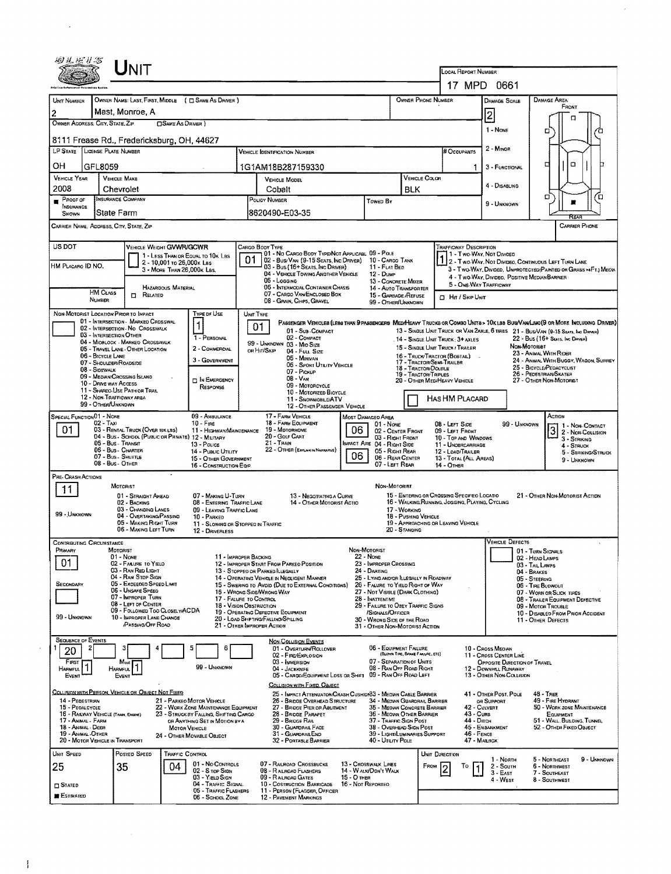|                                                                                                                                                                                                                                      | ${\sf UnIT}$                                                                                                                                                                                                                                                                               |                                                                                                                                                                                                              |                                                                                                                                                                                                                                                                                                                                                                                                       |                                                                                                                                                                |                                                                                                                                                                                                      |                                                                                                                                                                                       |                                                                                                                                                                                                                                                                                                                                                                                                                            |                                                                                                                                                                                                                                                               |  |  |  |
|--------------------------------------------------------------------------------------------------------------------------------------------------------------------------------------------------------------------------------------|--------------------------------------------------------------------------------------------------------------------------------------------------------------------------------------------------------------------------------------------------------------------------------------------|--------------------------------------------------------------------------------------------------------------------------------------------------------------------------------------------------------------|-------------------------------------------------------------------------------------------------------------------------------------------------------------------------------------------------------------------------------------------------------------------------------------------------------------------------------------------------------------------------------------------------------|----------------------------------------------------------------------------------------------------------------------------------------------------------------|------------------------------------------------------------------------------------------------------------------------------------------------------------------------------------------------------|---------------------------------------------------------------------------------------------------------------------------------------------------------------------------------------|----------------------------------------------------------------------------------------------------------------------------------------------------------------------------------------------------------------------------------------------------------------------------------------------------------------------------------------------------------------------------------------------------------------------------|---------------------------------------------------------------------------------------------------------------------------------------------------------------------------------------------------------------------------------------------------------------|--|--|--|
|                                                                                                                                                                                                                                      |                                                                                                                                                                                                                                                                                            |                                                                                                                                                                                                              |                                                                                                                                                                                                                                                                                                                                                                                                       |                                                                                                                                                                |                                                                                                                                                                                                      | LOCAL REPORT NUMBER                                                                                                                                                                   | 17 MPD 0661                                                                                                                                                                                                                                                                                                                                                                                                                |                                                                                                                                                                                                                                                               |  |  |  |
| UNIT NUMBER                                                                                                                                                                                                                          |                                                                                                                                                                                                                                                                                            | OWNER NAME: LAST, FIRST, MIDDLE ( C SAME AS DRIVER )                                                                                                                                                         |                                                                                                                                                                                                                                                                                                                                                                                                       |                                                                                                                                                                |                                                                                                                                                                                                      | OWNER PHONE NUMBER                                                                                                                                                                    | <b>DAMAGE SCALE</b>                                                                                                                                                                                                                                                                                                                                                                                                        | <b>DAMAGE AREA</b>                                                                                                                                                                                                                                            |  |  |  |
| $\overline{c}$                                                                                                                                                                                                                       | Mast. Monroe. A                                                                                                                                                                                                                                                                            |                                                                                                                                                                                                              |                                                                                                                                                                                                                                                                                                                                                                                                       |                                                                                                                                                                |                                                                                                                                                                                                      |                                                                                                                                                                                       | $\overline{2}$                                                                                                                                                                                                                                                                                                                                                                                                             | FRONT                                                                                                                                                                                                                                                         |  |  |  |
| OWNER ADDRESS: CITY, STATE, ZIP                                                                                                                                                                                                      |                                                                                                                                                                                                                                                                                            | <b>OSAME AS DRIVER</b> )                                                                                                                                                                                     |                                                                                                                                                                                                                                                                                                                                                                                                       |                                                                                                                                                                |                                                                                                                                                                                                      |                                                                                                                                                                                       | 1 - NONE                                                                                                                                                                                                                                                                                                                                                                                                                   | α<br>□                                                                                                                                                                                                                                                        |  |  |  |
| 8111 Frease Rd., Fredericksburg, OH, 44627                                                                                                                                                                                           |                                                                                                                                                                                                                                                                                            |                                                                                                                                                                                                              |                                                                                                                                                                                                                                                                                                                                                                                                       |                                                                                                                                                                |                                                                                                                                                                                                      |                                                                                                                                                                                       |                                                                                                                                                                                                                                                                                                                                                                                                                            |                                                                                                                                                                                                                                                               |  |  |  |
| LP STATE LICENSE PLATE NUMBER                                                                                                                                                                                                        |                                                                                                                                                                                                                                                                                            |                                                                                                                                                                                                              | <b>VEHICLE IDENTIFICATION NUMBER</b>                                                                                                                                                                                                                                                                                                                                                                  |                                                                                                                                                                |                                                                                                                                                                                                      | <b># Occupants</b>                                                                                                                                                                    | 2 - Minor                                                                                                                                                                                                                                                                                                                                                                                                                  |                                                                                                                                                                                                                                                               |  |  |  |
| OН<br>GFL8059<br><b>VEHICLE YEAR</b>                                                                                                                                                                                                 | <b>VEHICLE MAKE</b>                                                                                                                                                                                                                                                                        |                                                                                                                                                                                                              | 1G1AM18B287159330<br>VEHICLE MODEL                                                                                                                                                                                                                                                                                                                                                                    |                                                                                                                                                                | VEHICLE COLOR                                                                                                                                                                                        |                                                                                                                                                                                       | 3 - FUNCTIONAL                                                                                                                                                                                                                                                                                                                                                                                                             | O<br>о                                                                                                                                                                                                                                                        |  |  |  |
| 2008                                                                                                                                                                                                                                 | Chevrolet                                                                                                                                                                                                                                                                                  |                                                                                                                                                                                                              | Cobalt                                                                                                                                                                                                                                                                                                                                                                                                | <b>BLK</b>                                                                                                                                                     |                                                                                                                                                                                                      | 4 - DISABLING                                                                                                                                                                         |                                                                                                                                                                                                                                                                                                                                                                                                                            |                                                                                                                                                                                                                                                               |  |  |  |
| $P$ ROOF OF<br>INSURANCE                                                                                                                                                                                                             | <b>INSURANCE COMPANY</b>                                                                                                                                                                                                                                                                   |                                                                                                                                                                                                              | POLICY NUMBER                                                                                                                                                                                                                                                                                                                                                                                         | TOWED BY                                                                                                                                                       |                                                                                                                                                                                                      |                                                                                                                                                                                       | 9 - UNKNOWN                                                                                                                                                                                                                                                                                                                                                                                                                | □<br>้ต                                                                                                                                                                                                                                                       |  |  |  |
| SHOWN<br>CARRIER NAME, ADDRESS, CITY, STATE, ZIP                                                                                                                                                                                     | State Farm                                                                                                                                                                                                                                                                                 |                                                                                                                                                                                                              | 8620490-E03-35                                                                                                                                                                                                                                                                                                                                                                                        |                                                                                                                                                                |                                                                                                                                                                                                      |                                                                                                                                                                                       |                                                                                                                                                                                                                                                                                                                                                                                                                            | <b>CARRIER PHONE</b>                                                                                                                                                                                                                                          |  |  |  |
|                                                                                                                                                                                                                                      |                                                                                                                                                                                                                                                                                            |                                                                                                                                                                                                              |                                                                                                                                                                                                                                                                                                                                                                                                       |                                                                                                                                                                |                                                                                                                                                                                                      |                                                                                                                                                                                       |                                                                                                                                                                                                                                                                                                                                                                                                                            |                                                                                                                                                                                                                                                               |  |  |  |
| US DOT<br>HM PLACARO ID NO.                                                                                                                                                                                                          |                                                                                                                                                                                                                                                                                            | VEHICLE WEIGHT GVWR/GCWR<br>1 - LESS THAN OR EQUAL TO 10K LBS<br>2 - 10,001 to 26,000x Las<br>3 - MORE THAN 26.000K LBS.                                                                                     | CARGO BODY TYPE<br>01 - No CARGO BODY TYPE/NOT APPLICABL 09 - POLE<br>01<br>102 - Bus/Van (9-15 Seats, Inc Driver) 10 - Cargo Tank<br>03 - Bus (16+ Seats, Inc Driver)<br>04 - VEHICLE TOWING ANOTHER VEHICLE<br>05 - Logging                                                                                                                                                                         | 11 - FLAT BED<br>12 - Dump                                                                                                                                     | 13 - CONCRETE MIXER                                                                                                                                                                                  | TRAFFICWAY DESCRIPTION                                                                                                                                                                | 1 - T WO-WAY, NOT DIVIDED<br>1 2 - T WO-WAY, NOT DIVIDEO, CONTINUDUS LEFT TURN LANE<br>3 - Two-Way, Divided, UNPROTECTED(PAINTED OR GRASS >4FT.) MEOIA<br>4 - Two-Way, Divideo, Positive Median Barrier                                                                                                                                                                                                                    |                                                                                                                                                                                                                                                               |  |  |  |
| HAZARDOUS MATERIAL<br><b>HM CLASS</b><br><b>D</b> RELATED                                                                                                                                                                            |                                                                                                                                                                                                                                                                                            |                                                                                                                                                                                                              | 06 - INTERMODAL CONTAINER CHASIS<br>07 - CARGO VAN/ENCLOSED BOX                                                                                                                                                                                                                                                                                                                                       |                                                                                                                                                                | 14 - AUTO TRANSPORTER<br>15 - GARBAGE/REFUSE                                                                                                                                                         | 5 - ONE-WAY TRAFFICWAY<br><b>CI Hr / SKIP UNIT</b>                                                                                                                                    |                                                                                                                                                                                                                                                                                                                                                                                                                            |                                                                                                                                                                                                                                                               |  |  |  |
| NUMBER<br>NON-MOTORIST LOCATION PRIOR TO IMPACT                                                                                                                                                                                      |                                                                                                                                                                                                                                                                                            | Type or Use                                                                                                                                                                                                  | 08 - GRAIN, CHIPS, GRAVEL<br>UNIT TYPE                                                                                                                                                                                                                                                                                                                                                                |                                                                                                                                                                | 99 - OTHER/UNKNOWN                                                                                                                                                                                   |                                                                                                                                                                                       |                                                                                                                                                                                                                                                                                                                                                                                                                            |                                                                                                                                                                                                                                                               |  |  |  |
| 03 - INTERSECTION OTHER<br>06 - BICYCLE LANE<br>07 - SHOULDER/ROADSIDE<br>08 - SIDEWALK<br>10 - DRIVE WAY ACCESS<br>99 - OTHER/UNKNOWN                                                                                               | 01 - INTERSECTION - MARKED CROSSWAL<br>02 - INTERSECTION - NO CROSSWALK<br>04 - MIDBLOCK - MARKED CROSSWALK<br>05 - TRAVEL LANE - OTHER LOCATION<br>09 - Median/Crossing Island<br>11 - SHAREO-USE PATH OR TRAIL<br>12 - NON-TRAFFICWAY AREA                                               | 1 - PERSONAL<br>2 - COMMERCIAL<br>3 - GOVERNMENT<br>IN EMERGENCY<br>RESPONSE                                                                                                                                 | 01<br>01 - Sub COMPACT<br>02 - COMPACT<br>99 - UNKNOWN 03 - MID SIZE<br>on Hir/Skip<br>04 - Fuu, Size<br>05 - MINIVAN<br>06 - SPORT UTILITY VEHICLE<br>07 - Pickup<br>$08 - V_{AN}$<br>09 - MOTORCYCLE<br>10 - MOTORIZED BICYCLE<br>11 - SNOWMOBILE/ATV<br>12 - OTHER PASSENGER VEHICLE                                                                                                               |                                                                                                                                                                | 18 - TRACTOR/DOUBLE<br>19 - TRACTOR/TRIPLES                                                                                                                                                          | . 14 - SINGLE UNIT TRUCK: 3+ AXLES<br>15 - SINGLE UNIT TRUCK / TRAILER<br>16 - TRUCK/TRACTOR (BOBTAL).<br>17 - TRACTOR/SEMI-TRAILER<br>20 - OTHER MEDIMEAVY VEHICLE<br>HAS HM PLACARD | Passenger Venicles (less than 9 passengers Med/Heavy Trucks or Combo Units > 10k lbs Bus/Van/Limo(9 or More Including Driver)<br>13 - SINGLE UNIT TRUCK OR VAN ZAXLE, 6 TIRES 21 - BUS/VAN (9-15 SEATS, INC DRIVER)<br>22 - BUS (16+ SEATS, INC DRIVER)<br>Non-Motoriet<br>23 - ANMAL WITH RIDER<br>24 - ANIMAL WITH BUGGY, WAGON, SURREY<br>25 - BICYCLE/PEDACYCLIST<br>26 - PEDESTRIAN/SKATER<br>27 - OTHER NON-MOTORIST |                                                                                                                                                                                                                                                               |  |  |  |
| SPECIAL FUNCTION 01 - NONE<br>$02 - TAXI$<br>01                                                                                                                                                                                      | 03 - RENTAL TRUCK (OVER 10KLBS)<br>05 - Bus - Transit<br>06 - Bus - Charter<br>07 - Bus - SHUTTLE<br>08 - Bus - OTHER                                                                                                                                                                      | 09 - AMBULANCE<br>$10 - F_{IRE}$<br>11 - HIGHWAY/MAINTENANCE<br>04 - BUS - SCHOOL (PUBLIC OR PRIVATE) 12 - MILITARY<br>13 - Pouce<br>14 - PUBLIC UTILITY<br>15 - OTHER GOVERNMENT<br>16 - CONSTRUCTION EQIP. | 17 - FARM VEHICLE<br>18 - FARM EQUIPMENT<br>19 - MOTORHOME<br>20 - GOLF CART<br>21 - TRAIN<br>22 - OTHER (EKHANIN NARRATIVE)                                                                                                                                                                                                                                                                          | MOST DAMAGED AREA<br>01 - NONE<br>02 - CENTER FRONT<br>03 - Right FRONT<br>IMPACT ARE 04 - RIGHT SIDE<br>05 - Right Rear<br>06 - REAR CENTER<br>07 - LEFT REAR | 08 - LEFT SIDE<br>09 - LEFT FRONT<br>10 - TOP AND WINDOWS<br>11 - UNDERCARRIAGE<br>12 - LOAD/TRAILER<br>13 - TOTAL (ALL AREAS)<br>14 - OTHER                                                         | 99 - Unknown                                                                                                                                                                          | Action<br>1- Non-Contact<br>2 - Non-Collision<br>3 - STRIKING<br>$4 -$ STRUCK<br>5 - STRIKING/STRUCK<br>9 - UNKNOWN                                                                                                                                                                                                                                                                                                        |                                                                                                                                                                                                                                                               |  |  |  |
| PRE-CRASH ACTIONS<br>11<br>99 - UNKNOWN                                                                                                                                                                                              | MOTORIST<br>01 - STRAIGHT AHEAD<br>02 - BACKING<br>03 - Changing Lanes<br>04 - OVERTAKING/PASSING<br>05 - MAKING RIGHT TURN<br>06 - MAKING LEFT TURN                                                                                                                                       | 07 - MAKING U-TURN<br>08 - ENTERING TRAFFIC LANE<br>09 - LEAVING TRAFFIC LANE<br>10 - PARKED<br>12 - DRIVERLESS                                                                                              | 13 - NEGOTIATING A CURVE<br>14 - OTHER MOTORIST ACTIO<br>11 - Slowing or Stopped in Traffic                                                                                                                                                                                                                                                                                                           |                                                                                                                                                                | NON-MOTORIST<br>17 - WORKING<br>18 - PUSHING VEHICLE<br>20 - Standing                                                                                                                                | 15 - ENTERING OR CROSSING SPECIFIED LOCATIO<br>16 - WALKING, RUNNING, JOGGING, PLAYING, CYCLING<br>19 - APPROACHING OR LEAVING VEHICLE                                                |                                                                                                                                                                                                                                                                                                                                                                                                                            | 21 - OTHER NON-MOTORIST ACTION                                                                                                                                                                                                                                |  |  |  |
| <b>CONTRIBUTING CIRCUMSTANCE</b><br>PRIMARY<br>01<br>SECONDARY<br>99 - UNKNOWN                                                                                                                                                       | <b>MOTORIST</b><br>01 - None<br>02 - FAILURE TO YIELD<br>03 - RAN RED LIGHT<br>04 - RAN STOP SIGN<br>05 - Exceeded Speed Limit<br>06 - UNSAFE SPEED<br>07 - IMPROPER TURN<br>08 - LEFT OF CENTER<br>09 - FOLLOWED TOO CLOSELY/ACDA<br>10 - IMPROPER LANE CHANGE<br><b>PASSING/OFF ROAD</b> |                                                                                                                                                                                                              | 11 - IMPROPER BACKING<br>12 - IMPROPER START FROM PARKEO POSITION<br>13 - STOPPEO OR PARKED LLEGALLY<br>14 - OPERATING VEHICLE IN NEGLIGENT MANNER<br>15 - Swering to Avdid (DUE to External Conditions)<br>16 - Wrong Side/Wrong Way<br>17 - FALURE TO CONTROL<br>18 - VISION OBSTRUCTION<br>19 - OPERATING DEFECTIVE EQUIPMENT<br>20 - LOAD SHIFTING/FALLING/SPILLING<br>21 - OTHER IMPROPER ACTION | NON-MOTORIST<br>22 - None<br>23 - IMPROPER CROSSING<br>24 - DARTING<br>26 - FALURE TO YIELD RIGHT OF WAY<br>28 - INATTENTIVE<br>/SIGNALS/OFFICER               | 25 - LYING AND/OR ILLEGALLY IN ROADWAY<br>27 - NOT VISIBLE (DARK CLOTHING)<br>29 - FAILURE TO OBEY TRAFFIC SIGNS<br>30 - WRONG SIDE OF THE ROAD<br>31 - OTHER NON-MOTORIST ACTION                    |                                                                                                                                                                                       | <b>VEHICLE DEFECTS</b>                                                                                                                                                                                                                                                                                                                                                                                                     | 01 - TURN SIGNALS<br>02 - HEAD LAMPS<br>03 - TAIL LAMPS<br>04 - BRAKES<br>05 - STEERING<br>06 - TIRE BLOWOUT<br>07 - WORN OR SLICK TIRES<br>08 - TRAILER EQUIPMENT DEFECTIVE<br>09 - MOTOR TROUBLE<br>10 - DISABLED FROM PRIOR ACCIDENT<br>11 - OTHER DEFECTS |  |  |  |
| <b>SEQUENCE OF EVENTS</b><br>20<br>First<br>HARMFUL<br>EVENT                                                                                                                                                                         | Most<br>Harmful<br>EVENT                                                                                                                                                                                                                                                                   | 5<br>6<br>99 - UNKNOWN                                                                                                                                                                                       | <b>NON-COLLISION EVENTS</b><br>01 - OVERTURN/ROLLOVER<br>02 - FIRE/EXPLOSION<br>03 - IMMERSION<br>04 - JACKKNIFE<br>05 - CARGO/EQUIPMENT LOSS OR SHIFT 09 - RAN OFF ROAD LEFT<br>COLLISION WITH FIXED, OBJECT                                                                                                                                                                                         |                                                                                                                                                                | 06 - EQUIPMENT FAILURE<br>(BLOWN TIRE, BRAKE FAILURE, ETC)<br>07 - SEPARATION OF UNITS<br>08 - RAN OFF ROAD RIGHT                                                                                    |                                                                                                                                                                                       | 10 - Cross Meoran<br>11 - CROSS CENTER LINE<br>OPPOSITE DIRECTION OF TRAVEL<br>12 - DOWNHILL RUNAWAY<br>13 - OTHER NON-COLLISION                                                                                                                                                                                                                                                                                           |                                                                                                                                                                                                                                                               |  |  |  |
| COLLISION WITH PERSON, VEHICLE OR OBJECT NOT FIXED<br>14 - PEDESTRIAN<br>15 - PEOALCYCLE<br>16 - RAILWAY VEHICLE (TRAIN, ENGINE)<br>17 - ANIMAL - FARM<br>18 - Animal - Deer<br>19 - ANIMAL OTHER<br>20 - MOTOR VEHICLE IN TRANSPORT |                                                                                                                                                                                                                                                                                            | 21 - PARKEO MOTOR VEHICLE<br>22 - WORK ZONE MAINTENANCE EQUIPMENT<br>23 - STRUCK BY FALLING, SHIFTING CARGO<br>OR ANYTHING SET IN MOTION BY A<br><b>MOTOR VEHICLE</b><br>24 - Отнея Моулаце Овлест           | 25 - IMPACT ATTENUATOR/CRASH CUSHION83 - MEDIAN CABLE BARRIER<br>26 - BRIDGE OVERHEAD STRUCTURE<br>27 - BRIDDE PIER OR ABUTMENT<br>28 - Bridge Parapet<br>29 - Bridge Rail<br>30 - GUARDRAL FACE<br>31 - GUARDRAILEND<br>32 - PORTABLE BARRIER                                                                                                                                                        |                                                                                                                                                                | 34 - Median Guardrail Barrier<br>35 - MEDIAN CONCRETE BARRIER<br>36 - MEOWN OTHER BARRIER<br>37 - TRAFFIC SIGN POST<br>38 - OVERHEAD SIGN POST<br>39 - LIGHT/LUMINARIES SUPPORT<br>40 - UTILITY POLE | 43 - Cuns<br>44 - Опсн<br>$46 -$ FENCE                                                                                                                                                | 41 - OTHER POST, POLE<br>or Support<br>42 - CULVERT<br>45 - EMBANKMENT<br>47 - MALBOX                                                                                                                                                                                                                                                                                                                                      | $48 - TREE$<br>49 - Fire Hydrant<br>50 - WORK ZONE MAINTENANCE<br>EQUIPMENT<br>51 - WALL, BULDING, TUNNEL<br>52 - Отнен Fixeo Овлест                                                                                                                          |  |  |  |
| UNIT SPEED<br>25<br>$\square$ Stated<br><b>ESTIMATED</b>                                                                                                                                                                             | Posted Speed<br>35                                                                                                                                                                                                                                                                         | TRAFFIC CONTROL<br>01 - No CONTROLS<br>04<br>02 - S TOP SIGN<br>03 - YIELD SIGN<br>04 - TRAFFIC SIGNAL<br>05 - TRAFFIC FLASHERS<br>06 - SCHOOL ZONE                                                          | 07 - RALROAD CROSSBUCKS<br>08 - RAILROAD FLASHERS<br>09 - RALROAD GATES<br>10 - COSTRUCTION BARRICADE<br>11 - PERSON (FLAGGER, OFFICER<br><b>12 - PAVEMENT MARKINGS</b>                                                                                                                                                                                                                               | 13 - CROSSWALK LINES<br>14 - Walk/Don't Walk<br>15 - O THER<br>16 - Not Reported                                                                               |                                                                                                                                                                                                      | UNIT DIRECTION<br>FROM<br>Тo                                                                                                                                                          | 1 - North<br>2 - South<br>$3 - EAST$<br>4 - WEST                                                                                                                                                                                                                                                                                                                                                                           | 5 - NORTHEAST<br>9 - UNKNOWN<br><b>6 - NORTHWEST</b><br>7 - SOUTHEAST<br>8 - Southwest                                                                                                                                                                        |  |  |  |

 $\hat{\boldsymbol{\beta}}$ 

 $\mathcal{L}^{\text{max}}_{\text{max}}$  and  $\mathcal{L}^{\text{max}}_{\text{max}}$ 

 $\sim 100$